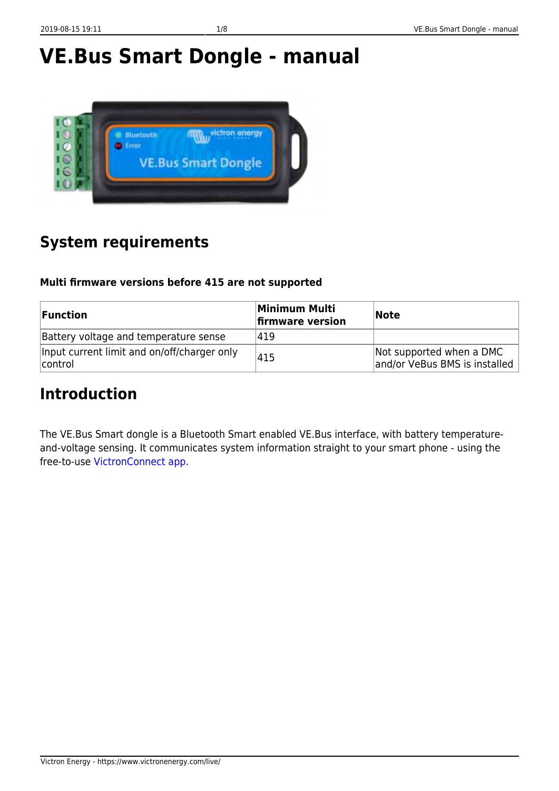Victron Energy - https://www.victronenergy.com/live/





# **System requirements**

### **Multi firmware versions before 415 are not supported**

| <b>Function</b>                                        | Minimum Multi<br>firmware version | <b>Note</b>                                               |
|--------------------------------------------------------|-----------------------------------|-----------------------------------------------------------|
| Battery voltage and temperature sense                  | 419                               |                                                           |
| Input current limit and on/off/charger only<br>control | 415                               | Not supported when a DMC<br>and/or VeBus BMS is installed |

## **Introduction**

The VE.Bus Smart dongle is a Bluetooth Smart enabled VE.Bus interface, with battery temperatureand-voltage sensing. It communicates system information straight to your smart phone - using the free-to-use [VictronConnect app.](https://www.victronenergy.com/support-and-downloads/software#victronconnect-app)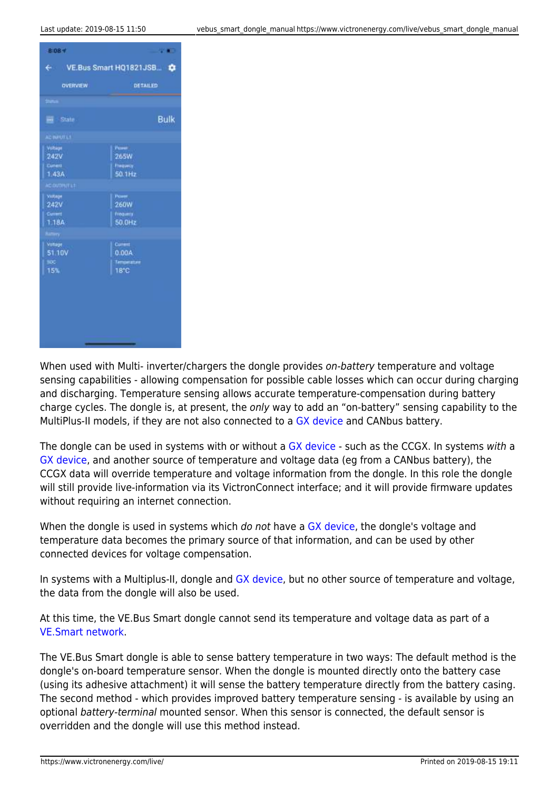

When used with Multi- inverter/chargers the dongle provides on-battery temperature and voltage sensing capabilities - allowing compensation for possible cable losses which can occur during charging and discharging. Temperature sensing allows accurate temperature-compensation during battery charge cycles. The dongle is, at present, the only way to add an "on-battery" sensing capability to the MultiPlus-II models, if they are not also connected to a [GX device](https://www.victronenergy.com/live/venus-os:start) and CANbus battery.

The dongle can be used in systems with or without a [GX device](https://www.victronenergy.com/live/venus-os:start) - such as the CCGX. In systems with a [GX device,](https://www.victronenergy.com/live/venus-os:start) and another source of temperature and voltage data (eg from a CANbus battery), the CCGX data will override temperature and voltage information from the dongle. In this role the dongle will still provide live-information via its VictronConnect interface; and it will provide firmware updates without requiring an internet connection.

When the dongle is used in systems which do not have a [GX device](https://www.victronenergy.com/live/venus-os:start), the dongle's voltage and temperature data becomes the primary source of that information, and can be used by other connected devices for voltage compensation.

In systems with a Multiplus-II, dongle and [GX device](https://www.victronenergy.com/live/venus-os:start), but no other source of temperature and voltage, the data from the dongle will also be used.

At this time, the VE.Bus Smart dongle cannot send its temperature and voltage data as part of a [VE.Smart network.](https://www.victronenergy.com/live/victronconnect:ve-smart-networking)

The VE.Bus Smart dongle is able to sense battery temperature in two ways: The default method is the dongle's on-board temperature sensor. When the dongle is mounted directly onto the battery case (using its adhesive attachment) it will sense the battery temperature directly from the battery casing. The second method - which provides improved battery temperature sensing - is available by using an optional battery-terminal mounted sensor. When this sensor is connected, the default sensor is overridden and the dongle will use this method instead.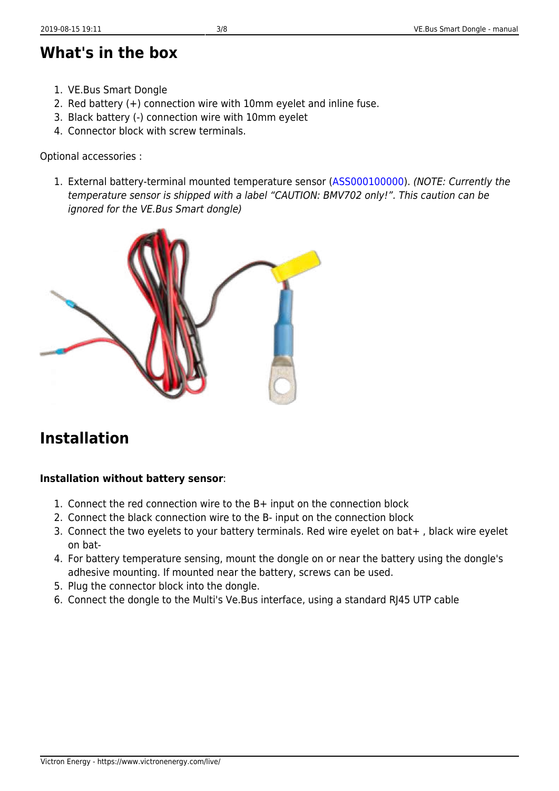## **What's in the box**

- 1. VE.Bus Smart Dongle
- 2. Red battery (+) connection wire with 10mm eyelet and inline fuse.
- 3. Black battery (-) connection wire with 10mm eyelet
- 4. Connector block with screw terminals.

Optional accessories :

1. External battery-terminal mounted temperature sensor [\(ASS000100000](https://www.victronenergy.com/accessories/temperature-sensor-for-bmv-702)). (NOTE: Currently the temperature sensor is shipped with a label "CAUTION: BMV702 only!". This caution can be ignored for the VE.Bus Smart dongle)



## **Installation**

### **Installation without battery sensor**:

- 1. Connect the red connection wire to the B+ input on the connection block
- 2. Connect the black connection wire to the B- input on the connection block
- 3. Connect the two eyelets to your battery terminals. Red wire eyelet on bat+ , black wire eyelet on bat-
- 4. For battery temperature sensing, mount the dongle on or near the battery using the dongle's adhesive mounting. If mounted near the battery, screws can be used.
- 5. Plug the connector block into the dongle.
- 6. Connect the dongle to the Multi's Ve.Bus interface, using a standard RJ45 UTP cable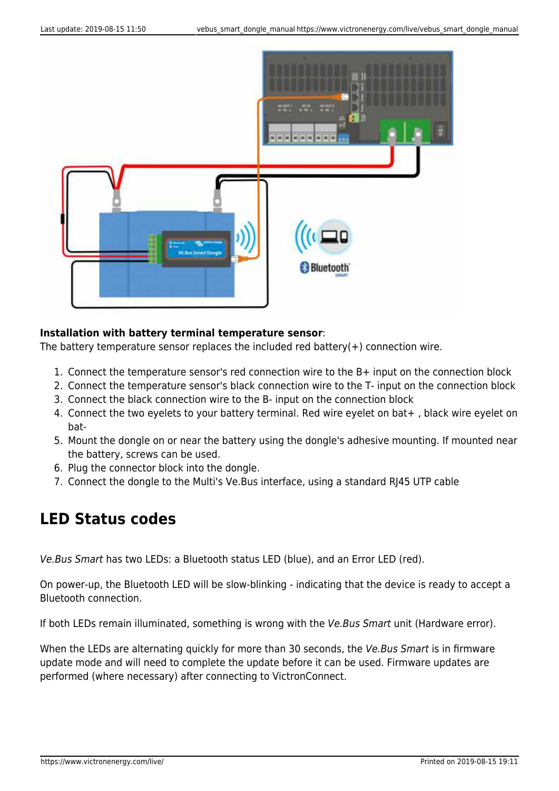

#### **Installation with battery terminal temperature sensor**:

The battery temperature sensor replaces the included red battery( $+$ ) connection wire.

- 1. Connect the temperature sensor's red connection wire to the B+ input on the connection block
- 2. Connect the temperature sensor's black connection wire to the T- input on the connection block
- 3. Connect the black connection wire to the B- input on the connection block
- 4. Connect the two eyelets to your battery terminal. Red wire eyelet on bat+ , black wire eyelet on bat-
- 5. Mount the dongle on or near the battery using the dongle's adhesive mounting. If mounted near the battery, screws can be used.
- 6. Plug the connector block into the dongle.
- 7. Connect the dongle to the Multi's Ve.Bus interface, using a standard RJ45 UTP cable

### **LED Status codes**

Ve.Bus Smart has two LEDs: a Bluetooth status LED (blue), and an Error LED (red).

On power-up, the Bluetooth LED will be slow-blinking - indicating that the device is ready to accept a Bluetooth connection.

If both LEDs remain illuminated, something is wrong with the Ve.Bus Smart unit (Hardware error).

When the LEDs are alternating quickly for more than 30 seconds, the Ve. Bus Smart is in firmware update mode and will need to complete the update before it can be used. Firmware updates are performed (where necessary) after connecting to VictronConnect.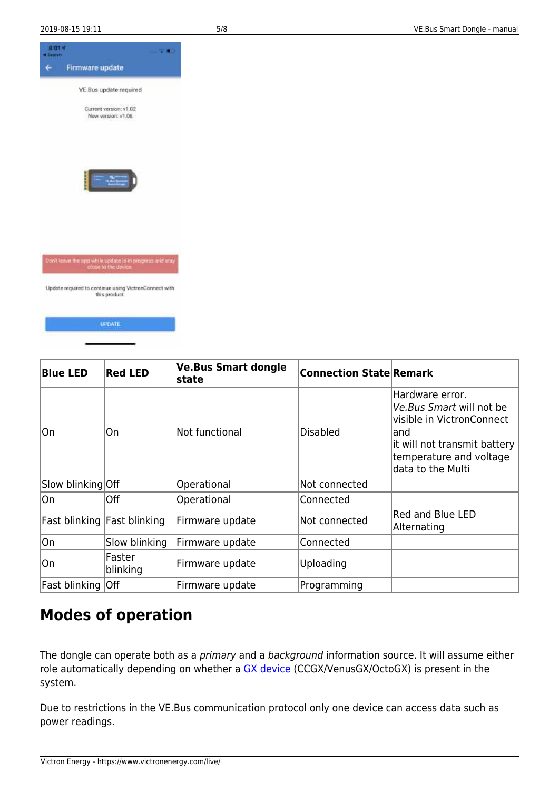

UPDATE





## **Modes of operation**

The dongle can operate both as a *primary* and a background information source. It will assume either role automatically depending on whether a [GX device](https://www.victronenergy.com/live/venus-os:start) (CCGX/VenusGX/OctoGX) is present in the system.

Due to restrictions in the VE.Bus communication protocol only one device can access data such as power readings.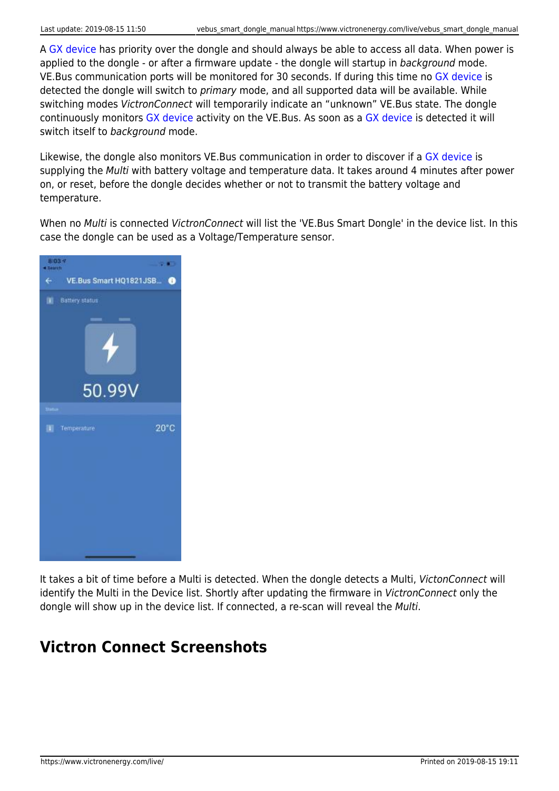A [GX device](https://www.victronenergy.com/live/venus-os:start) has priority over the dongle and should always be able to access all data. When power is applied to the dongle - or after a firmware update - the dongle will startup in background mode. VE.Bus communication ports will be monitored for 30 seconds. If during this time no [GX device](https://www.victronenergy.com/live/venus-os:start) is detected the dongle will switch to primary mode, and all supported data will be available. While switching modes VictronConnect will temporarily indicate an "unknown" VE.Bus state. The dongle continuously monitors [GX device](https://www.victronenergy.com/live/venus-os:start) activity on the VE.Bus. As soon as a [GX device](https://www.victronenergy.com/live/venus-os:start) is detected it will switch itself to background mode.

Likewise, the dongle also monitors VE.Bus communication in order to discover if a [GX device](https://www.victronenergy.com/live/venus-os:start) is supplying the Multi with battery voltage and temperature data. It takes around 4 minutes after power on, or reset, before the dongle decides whether or not to transmit the battery voltage and temperature.

When no Multi is connected VictronConnect will list the 'VE.Bus Smart Dongle' in the device list. In this case the dongle can be used as a Voltage/Temperature sensor.



It takes a bit of time before a Multi is detected. When the dongle detects a Multi, VictonConnect will identify the Multi in the Device list. Shortly after updating the firmware in VictronConnect only the dongle will show up in the device list. If connected, a re-scan will reveal the Multi.

# **Victron Connect Screenshots**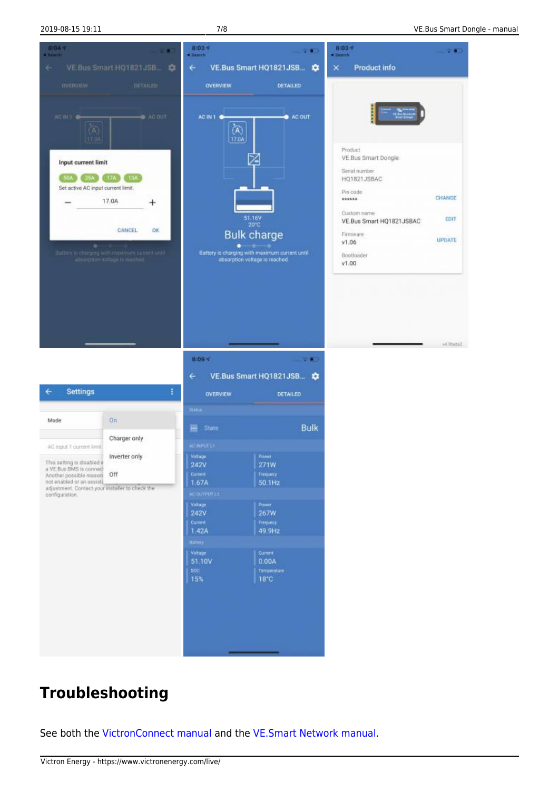

# **Troubleshooting**

See both the [VictronConnect manual](https://www.victronenergy.com/live/victronconnect:start) and the [VE.Smart Network manual.](https://www.victronenergy.com/live/victronconnect:ve-smart-networking)